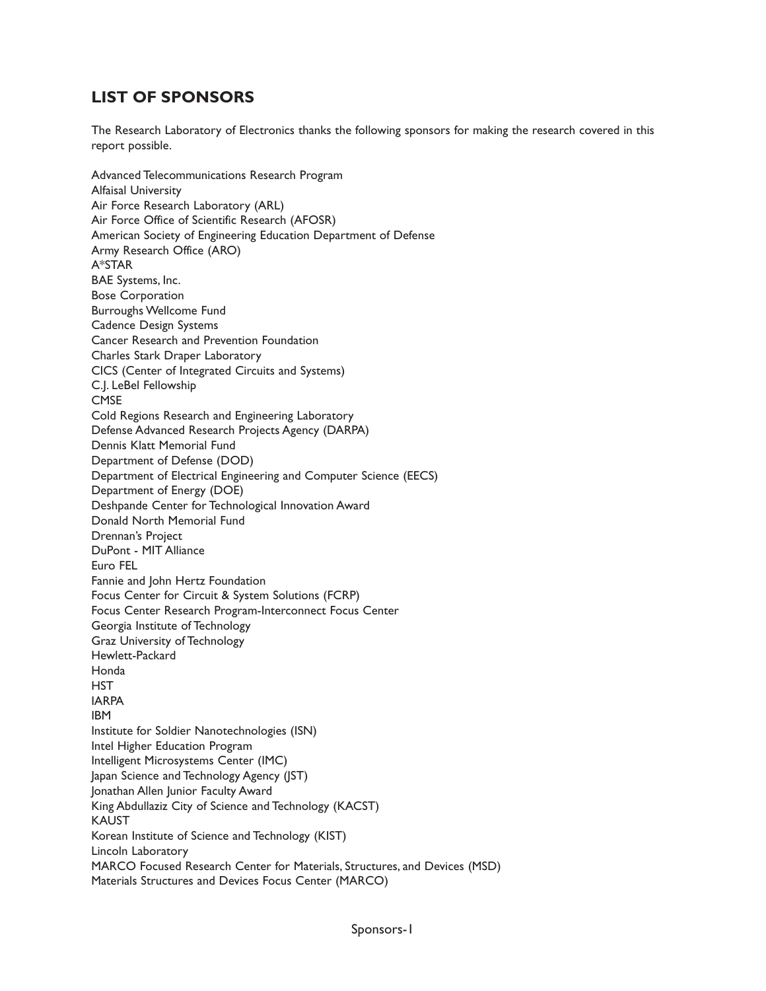## **LIST OF SPONSORS**

The Research Laboratory of Electronics thanks the following sponsors for making the research covered in this report possible.

Advanced Telecommunications Research Program Alfaisal University Air Force Research Laboratory (ARL) Air Force Office of Scientific Research (AFOSR) American Society of Engineering Education Department of Defense Army Research Office (ARO) A\*STAR BAE Systems, Inc. Bose Corporation Burroughs Wellcome Fund Cadence Design Systems Cancer Research and Prevention Foundation Charles Stark Draper Laboratory CICS (Center of Integrated Circuits and Systems) C.J. LeBel Fellowship **CMSE** Cold Regions Research and Engineering Laboratory Defense Advanced Research Projects Agency (DARPA) Dennis Klatt Memorial Fund Department of Defense (DOD) Department of Electrical Engineering and Computer Science (EECS) Department of Energy (DOE) Deshpande Center for Technological Innovation Award Donald North Memorial Fund Drennan's Project DuPont - MIT Alliance Euro FEL Fannie and John Hertz Foundation Focus Center for Circuit & System Solutions (FCRP) Focus Center Research Program-Interconnect Focus Center Georgia Institute of Technology Graz University of Technology Hewlett-Packard Honda **HST** IARPA IBM Institute for Soldier Nanotechnologies (ISN) Intel Higher Education Program Intelligent Microsystems Center (IMC) Japan Science and Technology Agency (JST) Jonathan Allen Junior Faculty Award King Abdullaziz City of Science and Technology (KACST) KAUST Korean Institute of Science and Technology (KIST) Lincoln Laboratory MARCO Focused Research Center for Materials, Structures, and Devices (MSD) Materials Structures and Devices Focus Center (MARCO)